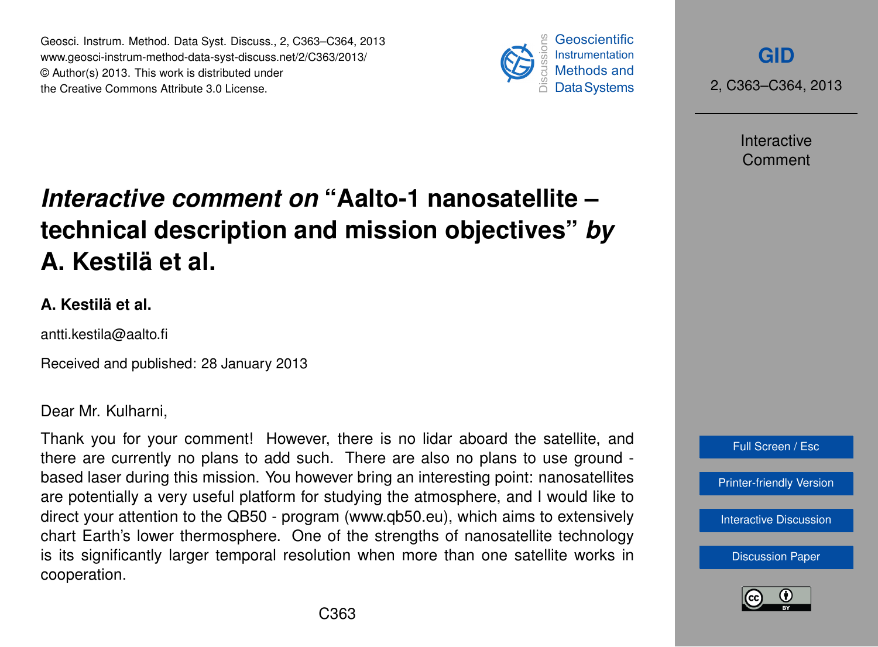Geosci. Instrum. Method. Data Syst. Discuss., 2, C363–C364, 2013 www.geosci-instrum-method-data-syst-discuss.net/2/C363/2013/ © Author(s) 2013. This work is distributed under the Creative Commons Attribute 3.0 License.



**[GID](http://www.geosci-instrum-method-data-syst-discuss.net)**

2, C363–C364, 2013

Interactive Comment

## *Interactive comment on* **"Aalto-1 nanosatellite – technical description and mission objectives"** *by* **A. Kestilä et al.**

## **A. Kestilä et al.**

antti.kestila@aalto.fi

Received and published: 28 January 2013

Dear Mr. Kulharni,

Thank you for your comment! However, there is no lidar aboard the satellite, and there are currently no plans to add such. There are also no plans to use ground based laser during this mission. You however bring an interesting point: nanosatellites are potentially a very useful platform for studying the atmosphere, and I would like to direct your attention to the QB50 - program (www.qb50.eu), which aims to extensively chart Earth's lower thermosphere. One of the strengths of nanosatellite technology is its significantly larger temporal resolution when more than one satellite works in cooperation.